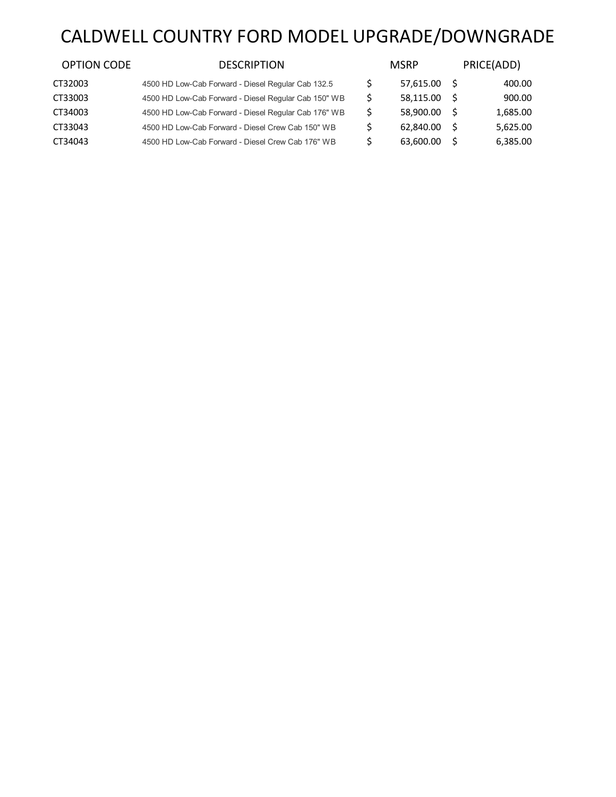# CALDWELL COUNTRY FORD MODEL UPGRADE/DOWNGRADE

| <b>OPTION CODE</b> | <b>DESCRIPTION</b>                                   | <b>MSRP</b> |     | PRICE(ADD) |
|--------------------|------------------------------------------------------|-------------|-----|------------|
| CT32003            | 4500 HD Low-Cab Forward - Diesel Regular Cab 132.5   | 57.615.00   | - S | 400.00     |
| CT33003            | 4500 HD Low-Cab Forward - Diesel Regular Cab 150" WB | 58.115.00   | -S  | 900.00     |
| CT34003            | 4500 HD Low-Cab Forward - Diesel Regular Cab 176" WB | 58.900.00   | -S  | 1,685.00   |
| CT33043            | 4500 HD Low-Cab Forward - Diesel Crew Cab 150" WB    | 62.840.00   | -S  | 5.625.00   |
| CT34043            | 4500 HD Low-Cab Forward - Diesel Crew Cab 176" WB    | 63.600.00   | .S  | 6,385.00   |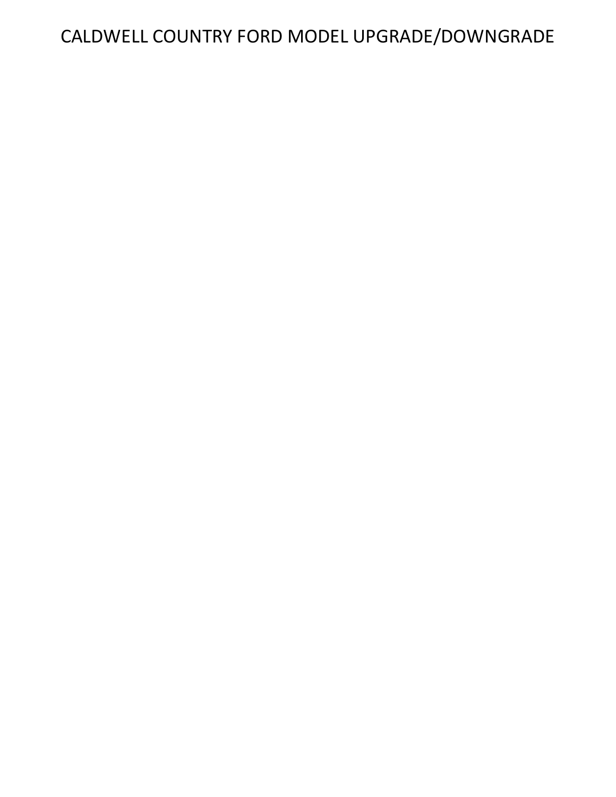# CALDWELL COUNTRY FORD MODEL UPGRADE/DOWNGRADE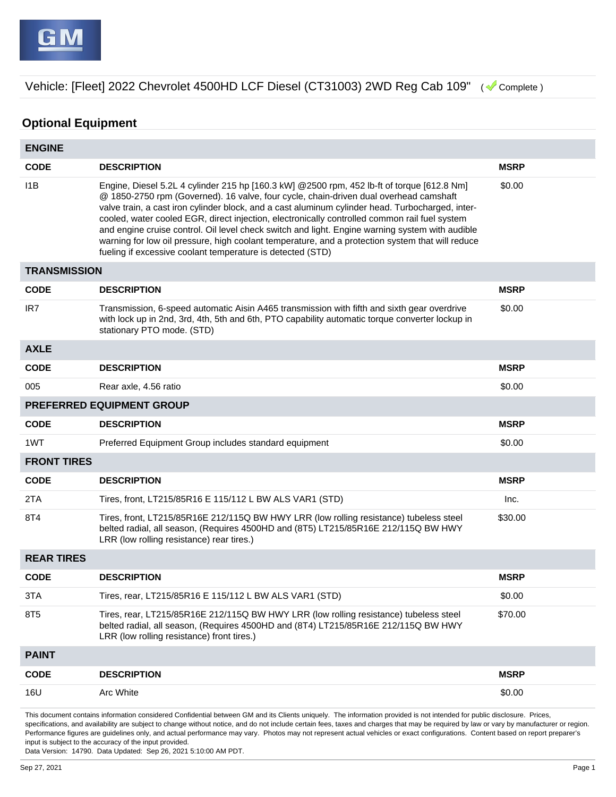## **Optional Equipment**

| <b>ENGINE</b>       |                                                                                                                                                                                                                                                                                                                                                                                                                                                                                                                                                                                                                                                               |             |
|---------------------|---------------------------------------------------------------------------------------------------------------------------------------------------------------------------------------------------------------------------------------------------------------------------------------------------------------------------------------------------------------------------------------------------------------------------------------------------------------------------------------------------------------------------------------------------------------------------------------------------------------------------------------------------------------|-------------|
| <b>CODE</b>         | <b>DESCRIPTION</b>                                                                                                                                                                                                                                                                                                                                                                                                                                                                                                                                                                                                                                            | <b>MSRP</b> |
| 11B                 | Engine, Diesel 5.2L 4 cylinder 215 hp [160.3 kW] @2500 rpm, 452 lb-ft of torque [612.8 Nm]<br>@ 1850-2750 rpm (Governed). 16 valve, four cycle, chain-driven dual overhead camshaft<br>valve train, a cast iron cylinder block, and a cast aluminum cylinder head. Turbocharged, inter-<br>cooled, water cooled EGR, direct injection, electronically controlled common rail fuel system<br>and engine cruise control. Oil level check switch and light. Engine warning system with audible<br>warning for low oil pressure, high coolant temperature, and a protection system that will reduce<br>fueling if excessive coolant temperature is detected (STD) | \$0.00      |
| <b>TRANSMISSION</b> |                                                                                                                                                                                                                                                                                                                                                                                                                                                                                                                                                                                                                                                               |             |
| <b>CODE</b>         | <b>DESCRIPTION</b>                                                                                                                                                                                                                                                                                                                                                                                                                                                                                                                                                                                                                                            | <b>MSRP</b> |
| IR <sub>7</sub>     | Transmission, 6-speed automatic Aisin A465 transmission with fifth and sixth gear overdrive<br>with lock up in 2nd, 3rd, 4th, 5th and 6th, PTO capability automatic torque converter lockup in<br>stationary PTO mode. (STD)                                                                                                                                                                                                                                                                                                                                                                                                                                  | \$0.00      |
| <b>AXLE</b>         |                                                                                                                                                                                                                                                                                                                                                                                                                                                                                                                                                                                                                                                               |             |
| <b>CODE</b>         | <b>DESCRIPTION</b>                                                                                                                                                                                                                                                                                                                                                                                                                                                                                                                                                                                                                                            | <b>MSRP</b> |
| 005                 | Rear axle, 4.56 ratio                                                                                                                                                                                                                                                                                                                                                                                                                                                                                                                                                                                                                                         | \$0.00      |
|                     | PREFERRED EQUIPMENT GROUP                                                                                                                                                                                                                                                                                                                                                                                                                                                                                                                                                                                                                                     |             |
| <b>CODE</b>         | <b>DESCRIPTION</b>                                                                                                                                                                                                                                                                                                                                                                                                                                                                                                                                                                                                                                            | <b>MSRP</b> |
| 1WT                 | Preferred Equipment Group includes standard equipment                                                                                                                                                                                                                                                                                                                                                                                                                                                                                                                                                                                                         | \$0.00      |
| <b>FRONT TIRES</b>  |                                                                                                                                                                                                                                                                                                                                                                                                                                                                                                                                                                                                                                                               |             |
| <b>CODE</b>         | <b>DESCRIPTION</b>                                                                                                                                                                                                                                                                                                                                                                                                                                                                                                                                                                                                                                            | <b>MSRP</b> |
| 2TA                 | Tires, front, LT215/85R16 E 115/112 L BW ALS VAR1 (STD)                                                                                                                                                                                                                                                                                                                                                                                                                                                                                                                                                                                                       | Inc.        |
| 8T4                 | Tires, front, LT215/85R16E 212/115Q BW HWY LRR (low rolling resistance) tubeless steel<br>belted radial, all season, (Requires 4500HD and (8T5) LT215/85R16E 212/115Q BW HWY<br>LRR (low rolling resistance) rear tires.)                                                                                                                                                                                                                                                                                                                                                                                                                                     | \$30.00     |
| <b>REAR TIRES</b>   |                                                                                                                                                                                                                                                                                                                                                                                                                                                                                                                                                                                                                                                               |             |
| <b>CODE</b>         | <b>DESCRIPTION</b>                                                                                                                                                                                                                                                                                                                                                                                                                                                                                                                                                                                                                                            | <b>MSRP</b> |
| 3TA                 | Tires, rear, LT215/85R16 E 115/112 L BW ALS VAR1 (STD)                                                                                                                                                                                                                                                                                                                                                                                                                                                                                                                                                                                                        | \$0.00      |
| 8T <sub>5</sub>     | Tires, rear, LT215/85R16E 212/115Q BW HWY LRR (low rolling resistance) tubeless steel<br>belted radial, all season, (Requires 4500HD and (8T4) LT215/85R16E 212/115Q BW HWY<br>LRR (low rolling resistance) front tires.)                                                                                                                                                                                                                                                                                                                                                                                                                                     | \$70.00     |
| <b>PAINT</b>        |                                                                                                                                                                                                                                                                                                                                                                                                                                                                                                                                                                                                                                                               |             |
| <b>CODE</b>         | <b>DESCRIPTION</b>                                                                                                                                                                                                                                                                                                                                                                                                                                                                                                                                                                                                                                            | <b>MSRP</b> |
| 16U                 | Arc White                                                                                                                                                                                                                                                                                                                                                                                                                                                                                                                                                                                                                                                     | \$0.00      |
|                     |                                                                                                                                                                                                                                                                                                                                                                                                                                                                                                                                                                                                                                                               |             |

This document contains information considered Confidential between GM and its Clients uniquely. The information provided is not intended for public disclosure. Prices, specifications, and availability are subject to change without notice, and do not include certain fees, taxes and charges that may be required by law or vary by manufacturer or region. Performance figures are guidelines only, and actual performance may vary. Photos may not represent actual vehicles or exact configurations. Content based on report preparer's input is subject to the accuracy of the input provided.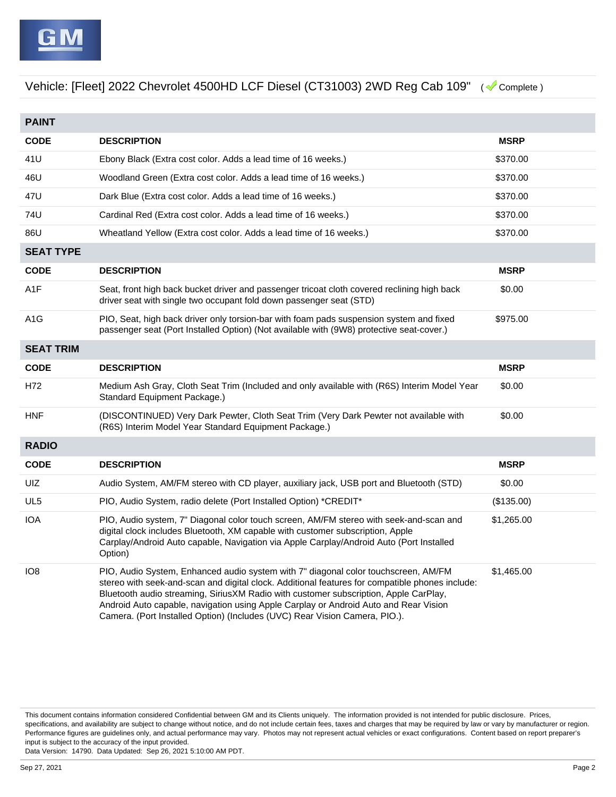| <b>PAINT</b>     |                                                                                                                                                                                                                                                                                                                                                                                                                                                     |             |
|------------------|-----------------------------------------------------------------------------------------------------------------------------------------------------------------------------------------------------------------------------------------------------------------------------------------------------------------------------------------------------------------------------------------------------------------------------------------------------|-------------|
| <b>CODE</b>      | <b>DESCRIPTION</b>                                                                                                                                                                                                                                                                                                                                                                                                                                  | <b>MSRP</b> |
| 41U              | Ebony Black (Extra cost color. Adds a lead time of 16 weeks.)                                                                                                                                                                                                                                                                                                                                                                                       | \$370.00    |
| 46U              | Woodland Green (Extra cost color. Adds a lead time of 16 weeks.)                                                                                                                                                                                                                                                                                                                                                                                    | \$370.00    |
| 47U              | Dark Blue (Extra cost color. Adds a lead time of 16 weeks.)                                                                                                                                                                                                                                                                                                                                                                                         | \$370.00    |
| 74U              | Cardinal Red (Extra cost color. Adds a lead time of 16 weeks.)                                                                                                                                                                                                                                                                                                                                                                                      | \$370.00    |
| 86U              | Wheatland Yellow (Extra cost color. Adds a lead time of 16 weeks.)                                                                                                                                                                                                                                                                                                                                                                                  | \$370.00    |
| <b>SEAT TYPE</b> |                                                                                                                                                                                                                                                                                                                                                                                                                                                     |             |
| <b>CODE</b>      | <b>DESCRIPTION</b>                                                                                                                                                                                                                                                                                                                                                                                                                                  | <b>MSRP</b> |
| A <sub>1</sub> F | Seat, front high back bucket driver and passenger tricoat cloth covered reclining high back<br>driver seat with single two occupant fold down passenger seat (STD)                                                                                                                                                                                                                                                                                  | \$0.00      |
| A <sub>1</sub> G | PIO, Seat, high back driver only torsion-bar with foam pads suspension system and fixed<br>passenger seat (Port Installed Option) (Not available with (9W8) protective seat-cover.)                                                                                                                                                                                                                                                                 | \$975.00    |
| <b>SEAT TRIM</b> |                                                                                                                                                                                                                                                                                                                                                                                                                                                     |             |
| <b>CODE</b>      | <b>DESCRIPTION</b>                                                                                                                                                                                                                                                                                                                                                                                                                                  | <b>MSRP</b> |
| H72              | Medium Ash Gray, Cloth Seat Trim (Included and only available with (R6S) Interim Model Year<br>Standard Equipment Package.)                                                                                                                                                                                                                                                                                                                         | \$0.00      |
| <b>HNF</b>       | (DISCONTINUED) Very Dark Pewter, Cloth Seat Trim (Very Dark Pewter not available with<br>(R6S) Interim Model Year Standard Equipment Package.)                                                                                                                                                                                                                                                                                                      | \$0.00      |
| <b>RADIO</b>     |                                                                                                                                                                                                                                                                                                                                                                                                                                                     |             |
| <b>CODE</b>      | <b>DESCRIPTION</b>                                                                                                                                                                                                                                                                                                                                                                                                                                  | <b>MSRP</b> |
| UIZ              | Audio System, AM/FM stereo with CD player, auxiliary jack, USB port and Bluetooth (STD)                                                                                                                                                                                                                                                                                                                                                             | \$0.00      |
| UL5              | PIO, Audio System, radio delete (Port Installed Option) *CREDIT*                                                                                                                                                                                                                                                                                                                                                                                    | (\$135.00)  |
| <b>IOA</b>       | PIO, Audio system, 7" Diagonal color touch screen, AM/FM stereo with seek-and-scan and<br>digital clock includes Bluetooth, XM capable with customer subscription, Apple<br>Carplay/Android Auto capable, Navigation via Apple Carplay/Android Auto (Port Installed<br>Option)                                                                                                                                                                      | \$1,265.00  |
| IO <sub>8</sub>  | PIO, Audio System, Enhanced audio system with 7" diagonal color touchscreen, AM/FM<br>stereo with seek-and-scan and digital clock. Additional features for compatible phones include:<br>Bluetooth audio streaming, SiriusXM Radio with customer subscription, Apple CarPlay,<br>Android Auto capable, navigation using Apple Carplay or Android Auto and Rear Vision<br>Camera. (Port Installed Option) (Includes (UVC) Rear Vision Camera, PIO.). | \$1,465.00  |

This document contains information considered Confidential between GM and its Clients uniquely. The information provided is not intended for public disclosure. Prices, specifications, and availability are subject to change without notice, and do not include certain fees, taxes and charges that may be required by law or vary by manufacturer or region. Performance figures are guidelines only, and actual performance may vary. Photos may not represent actual vehicles or exact configurations. Content based on report preparer's input is subject to the accuracy of the input provided.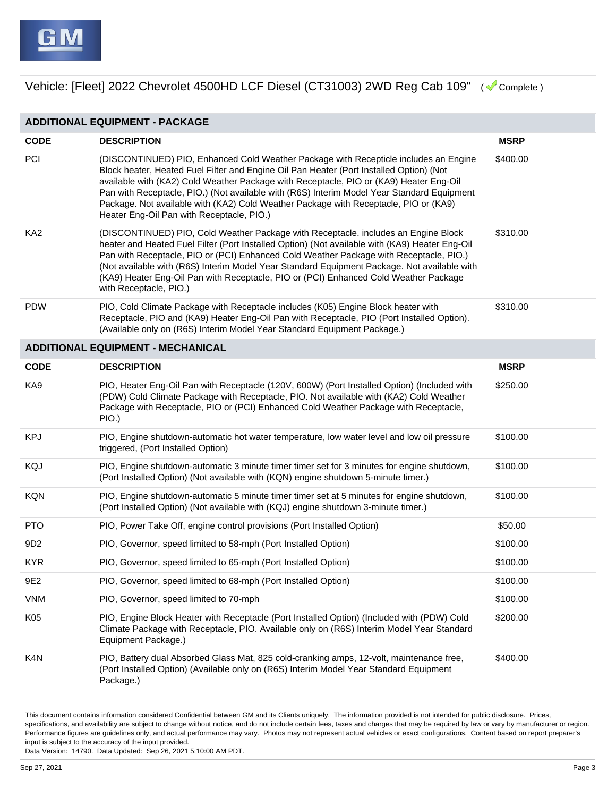| <b>ADDITIONAL EQUIPMENT - PACKAGE</b> |                                                                                                                                                                                                                                                                                                                                                                                                                                                                                                              |             |  |  |
|---------------------------------------|--------------------------------------------------------------------------------------------------------------------------------------------------------------------------------------------------------------------------------------------------------------------------------------------------------------------------------------------------------------------------------------------------------------------------------------------------------------------------------------------------------------|-------------|--|--|
| <b>CODE</b>                           | <b>DESCRIPTION</b>                                                                                                                                                                                                                                                                                                                                                                                                                                                                                           | <b>MSRP</b> |  |  |
| PCI                                   | (DISCONTINUED) PIO, Enhanced Cold Weather Package with Recepticle includes an Engine<br>Block heater, Heated Fuel Filter and Engine Oil Pan Heater (Port Installed Option) (Not<br>available with (KA2) Cold Weather Package with Receptacle, PIO or (KA9) Heater Eng-Oil<br>Pan with Receptacle, PIO.) (Not available with (R6S) Interim Model Year Standard Equipment<br>Package. Not available with (KA2) Cold Weather Package with Receptacle, PIO or (KA9)<br>Heater Eng-Oil Pan with Receptacle, PIO.) | \$400.00    |  |  |
| KA <sub>2</sub>                       | (DISCONTINUED) PIO, Cold Weather Package with Receptacle. includes an Engine Block<br>heater and Heated Fuel Filter (Port Installed Option) (Not available with (KA9) Heater Eng-Oil<br>Pan with Receptacle, PIO or (PCI) Enhanced Cold Weather Package with Receptacle, PIO.)<br>(Not available with (R6S) Interim Model Year Standard Equipment Package. Not available with<br>(KA9) Heater Eng-Oil Pan with Receptacle, PIO or (PCI) Enhanced Cold Weather Package<br>with Receptacle, PIO.)              | \$310.00    |  |  |
| <b>PDW</b>                            | PIO, Cold Climate Package with Receptacle includes (K05) Engine Block heater with<br>Receptacle, PIO and (KA9) Heater Eng-Oil Pan with Receptacle, PIO (Port Installed Option).<br>(Available only on (R6S) Interim Model Year Standard Equipment Package.)                                                                                                                                                                                                                                                  | \$310.00    |  |  |
|                                       | <b>ADDITIONAL EQUIPMENT - MECHANICAL</b>                                                                                                                                                                                                                                                                                                                                                                                                                                                                     |             |  |  |
| <b>CODE</b>                           | <b>DESCRIPTION</b>                                                                                                                                                                                                                                                                                                                                                                                                                                                                                           | <b>MSRP</b> |  |  |
| KA9                                   | PIO, Heater Eng-Oil Pan with Receptacle (120V, 600W) (Port Installed Option) (Included with<br>(PDW) Cold Climate Package with Receptacle, PIO. Not available with (KA2) Cold Weather<br>Package with Receptacle, PIO or (PCI) Enhanced Cold Weather Package with Receptacle,<br>PIO.)                                                                                                                                                                                                                       | \$250.00    |  |  |
| <b>KPJ</b>                            | PIO, Engine shutdown-automatic hot water temperature, low water level and low oil pressure<br>triggered, (Port Installed Option)                                                                                                                                                                                                                                                                                                                                                                             | \$100.00    |  |  |
| KQJ                                   | PIO, Engine shutdown-automatic 3 minute timer timer set for 3 minutes for engine shutdown,<br>(Port Installed Option) (Not available with (KQN) engine shutdown 5-minute timer.)                                                                                                                                                                                                                                                                                                                             | \$100.00    |  |  |
| <b>KQN</b>                            | PIO, Engine shutdown-automatic 5 minute timer timer set at 5 minutes for engine shutdown,<br>(Port Installed Option) (Not available with (KQJ) engine shutdown 3-minute timer.)                                                                                                                                                                                                                                                                                                                              | \$100.00    |  |  |
| <b>PTO</b>                            | PIO, Power Take Off, engine control provisions (Port Installed Option)                                                                                                                                                                                                                                                                                                                                                                                                                                       | \$50.00     |  |  |
| 9D <sub>2</sub>                       | PIO, Governor, speed limited to 58-mph (Port Installed Option)                                                                                                                                                                                                                                                                                                                                                                                                                                               | \$100.00    |  |  |
| <b>KYR</b>                            | PIO, Governor, speed limited to 65-mph (Port Installed Option)                                                                                                                                                                                                                                                                                                                                                                                                                                               | \$100.00    |  |  |
| 9E2                                   | PIO, Governor, speed limited to 68-mph (Port Installed Option)                                                                                                                                                                                                                                                                                                                                                                                                                                               | \$100.00    |  |  |
| <b>VNM</b>                            | PIO, Governor, speed limited to 70-mph                                                                                                                                                                                                                                                                                                                                                                                                                                                                       | \$100.00    |  |  |
| K05                                   | PIO, Engine Block Heater with Receptacle (Port Installed Option) (Included with (PDW) Cold<br>Climate Package with Receptacle, PIO. Available only on (R6S) Interim Model Year Standard<br>Equipment Package.)                                                                                                                                                                                                                                                                                               | \$200.00    |  |  |
| K4N                                   | PIO, Battery dual Absorbed Glass Mat, 825 cold-cranking amps, 12-volt, maintenance free,<br>(Port Installed Option) (Available only on (R6S) Interim Model Year Standard Equipment<br>Package.)                                                                                                                                                                                                                                                                                                              | \$400.00    |  |  |

This document contains information considered Confidential between GM and its Clients uniquely. The information provided is not intended for public disclosure. Prices, specifications, and availability are subject to change without notice, and do not include certain fees, taxes and charges that may be required by law or vary by manufacturer or region. Performance figures are guidelines only, and actual performance may vary. Photos may not represent actual vehicles or exact configurations. Content based on report preparer's input is subject to the accuracy of the input provided.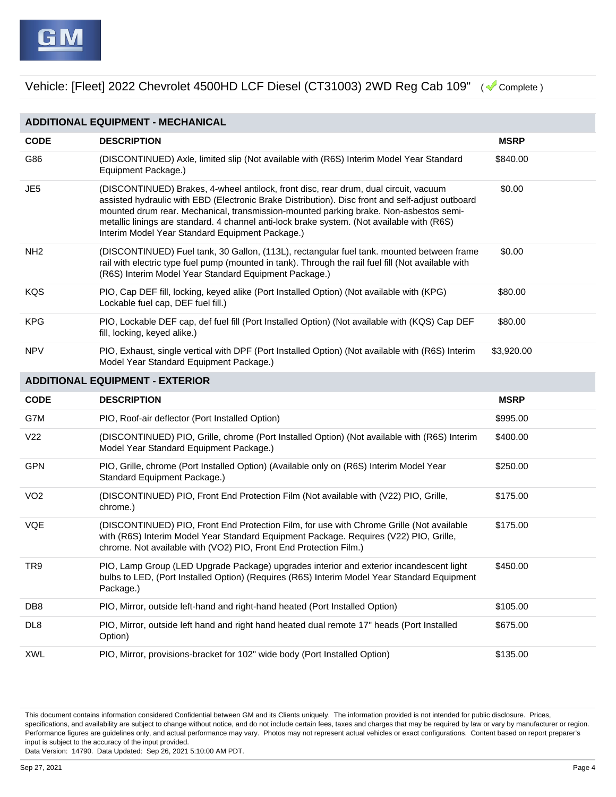

| <b>ADDITIONAL EQUIPMENT - MECHANICAL</b> |                                                                                                                                                                                                                                                                                                                                                                                                                                    |                                        |  |  |  |  |
|------------------------------------------|------------------------------------------------------------------------------------------------------------------------------------------------------------------------------------------------------------------------------------------------------------------------------------------------------------------------------------------------------------------------------------------------------------------------------------|----------------------------------------|--|--|--|--|
| <b>CODE</b>                              | <b>DESCRIPTION</b>                                                                                                                                                                                                                                                                                                                                                                                                                 | <b>MSRP</b>                            |  |  |  |  |
| G86                                      | (DISCONTINUED) Axle, limited slip (Not available with (R6S) Interim Model Year Standard<br>Equipment Package.)                                                                                                                                                                                                                                                                                                                     | \$840.00                               |  |  |  |  |
| JE5                                      | (DISCONTINUED) Brakes, 4-wheel antilock, front disc, rear drum, dual circuit, vacuum<br>assisted hydraulic with EBD (Electronic Brake Distribution). Disc front and self-adjust outboard<br>mounted drum rear. Mechanical, transmission-mounted parking brake. Non-asbestos semi-<br>metallic linings are standard. 4 channel anti-lock brake system. (Not available with (R6S)<br>Interim Model Year Standard Equipment Package.) | \$0.00                                 |  |  |  |  |
| NH <sub>2</sub>                          | (DISCONTINUED) Fuel tank, 30 Gallon, (113L), rectangular fuel tank. mounted between frame<br>rail with electric type fuel pump (mounted in tank). Through the rail fuel fill (Not available with<br>(R6S) Interim Model Year Standard Equipment Package.)                                                                                                                                                                          | \$0.00                                 |  |  |  |  |
| KQS                                      | PIO, Cap DEF fill, locking, keyed alike (Port Installed Option) (Not available with (KPG)<br>Lockable fuel cap, DEF fuel fill.)                                                                                                                                                                                                                                                                                                    | \$80.00                                |  |  |  |  |
| <b>KPG</b>                               | PIO, Lockable DEF cap, def fuel fill (Port Installed Option) (Not available with (KQS) Cap DEF<br>fill, locking, keyed alike.)                                                                                                                                                                                                                                                                                                     | \$80.00                                |  |  |  |  |
| <b>NPV</b>                               | PIO, Exhaust, single vertical with DPF (Port Installed Option) (Not available with (R6S) Interim<br>Model Year Standard Equipment Package.)                                                                                                                                                                                                                                                                                        | \$3,920.00                             |  |  |  |  |
|                                          |                                                                                                                                                                                                                                                                                                                                                                                                                                    | <b>ADDITIONAL EQUIPMENT - EXTERIOR</b> |  |  |  |  |
|                                          |                                                                                                                                                                                                                                                                                                                                                                                                                                    |                                        |  |  |  |  |
| <b>CODE</b>                              | <b>DESCRIPTION</b>                                                                                                                                                                                                                                                                                                                                                                                                                 | <b>MSRP</b>                            |  |  |  |  |
| G7M                                      | PIO, Roof-air deflector (Port Installed Option)                                                                                                                                                                                                                                                                                                                                                                                    | \$995.00                               |  |  |  |  |
| V <sub>22</sub>                          | (DISCONTINUED) PIO, Grille, chrome (Port Installed Option) (Not available with (R6S) Interim<br>Model Year Standard Equipment Package.)                                                                                                                                                                                                                                                                                            | \$400.00                               |  |  |  |  |
| GPN                                      | PIO, Grille, chrome (Port Installed Option) (Available only on (R6S) Interim Model Year<br>Standard Equipment Package.)                                                                                                                                                                                                                                                                                                            | \$250.00                               |  |  |  |  |
| VO <sub>2</sub>                          | (DISCONTINUED) PIO, Front End Protection Film (Not available with (V22) PIO, Grille,<br>chrome.)                                                                                                                                                                                                                                                                                                                                   | \$175.00                               |  |  |  |  |
| VQE                                      | (DISCONTINUED) PIO, Front End Protection Film, for use with Chrome Grille (Not available<br>with (R6S) Interim Model Year Standard Equipment Package. Requires (V22) PIO, Grille,<br>chrome. Not available with (VO2) PIO, Front End Protection Film.)                                                                                                                                                                             | \$175.00                               |  |  |  |  |
| TR9                                      | PIO, Lamp Group (LED Upgrade Package) upgrades interior and exterior incandescent light<br>bulbs to LED, (Port Installed Option) (Requires (R6S) Interim Model Year Standard Equipment<br>Package.)                                                                                                                                                                                                                                | \$450.00                               |  |  |  |  |
| DB <sub>8</sub>                          | PIO, Mirror, outside left-hand and right-hand heated (Port Installed Option)                                                                                                                                                                                                                                                                                                                                                       | \$105.00                               |  |  |  |  |
| DL8                                      | PIO, Mirror, outside left hand and right hand heated dual remote 17" heads (Port Installed<br>Option)                                                                                                                                                                                                                                                                                                                              | \$675.00                               |  |  |  |  |

This document contains information considered Confidential between GM and its Clients uniquely. The information provided is not intended for public disclosure. Prices, specifications, and availability are subject to change without notice, and do not include certain fees, taxes and charges that may be required by law or vary by manufacturer or region. Performance figures are guidelines only, and actual performance may vary. Photos may not represent actual vehicles or exact configurations. Content based on report preparer's input is subject to the accuracy of the input provided.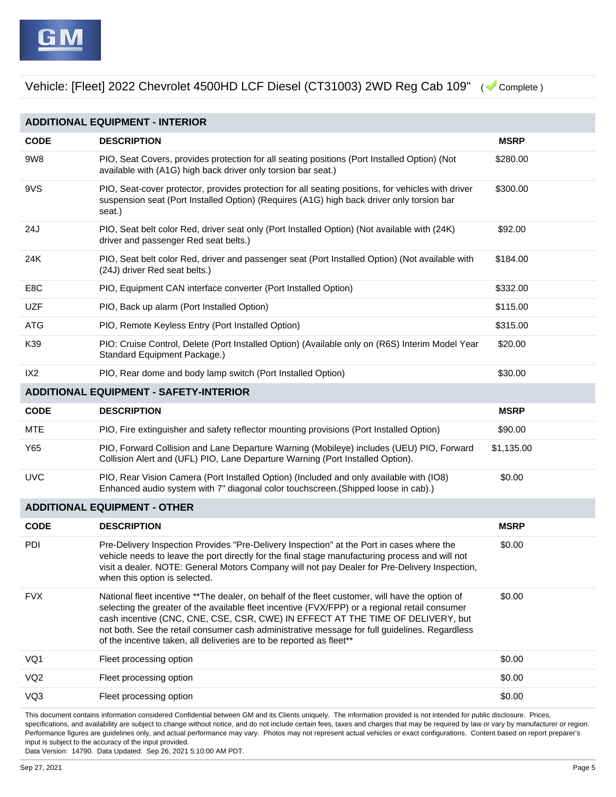| <b>ADDITIONAL EQUIPMENT - INTERIOR</b> |                                                                                                                                                                                                                                                                                                                                                                                                                                                               |             |  |  |  |
|----------------------------------------|---------------------------------------------------------------------------------------------------------------------------------------------------------------------------------------------------------------------------------------------------------------------------------------------------------------------------------------------------------------------------------------------------------------------------------------------------------------|-------------|--|--|--|
| <b>CODE</b>                            | <b>DESCRIPTION</b>                                                                                                                                                                                                                                                                                                                                                                                                                                            | <b>MSRP</b> |  |  |  |
| 9W8                                    | PIO, Seat Covers, provides protection for all seating positions (Port Installed Option) (Not<br>available with (A1G) high back driver only torsion bar seat.)                                                                                                                                                                                                                                                                                                 | \$280.00    |  |  |  |
| 9VS                                    | PIO, Seat-cover protector, provides protection for all seating positions, for vehicles with driver<br>suspension seat (Port Installed Option) (Requires (A1G) high back driver only torsion bar<br>seat.)                                                                                                                                                                                                                                                     | \$300.00    |  |  |  |
| 24J                                    | PIO, Seat belt color Red, driver seat only (Port Installed Option) (Not available with (24K)<br>driver and passenger Red seat belts.)                                                                                                                                                                                                                                                                                                                         | \$92.00     |  |  |  |
| 24K                                    | PIO, Seat belt color Red, driver and passenger seat (Port Installed Option) (Not available with<br>(24J) driver Red seat belts.)                                                                                                                                                                                                                                                                                                                              | \$184.00    |  |  |  |
| E8C                                    | PIO, Equipment CAN interface converter (Port Installed Option)                                                                                                                                                                                                                                                                                                                                                                                                | \$332.00    |  |  |  |
| <b>UZF</b>                             | PIO, Back up alarm (Port Installed Option)                                                                                                                                                                                                                                                                                                                                                                                                                    | \$115.00    |  |  |  |
| <b>ATG</b>                             | PIO, Remote Keyless Entry (Port Installed Option)                                                                                                                                                                                                                                                                                                                                                                                                             | \$315.00    |  |  |  |
| K39                                    | PIO: Cruise Control, Delete (Port Installed Option) (Available only on (R6S) Interim Model Year<br>Standard Equipment Package.)                                                                                                                                                                                                                                                                                                                               | \$20.00     |  |  |  |
| IX <sub>2</sub>                        | PIO, Rear dome and body lamp switch (Port Installed Option)                                                                                                                                                                                                                                                                                                                                                                                                   | \$30.00     |  |  |  |
|                                        | <b>ADDITIONAL EQUIPMENT - SAFETY-INTERIOR</b>                                                                                                                                                                                                                                                                                                                                                                                                                 |             |  |  |  |
| <b>CODE</b>                            | <b>DESCRIPTION</b>                                                                                                                                                                                                                                                                                                                                                                                                                                            | <b>MSRP</b> |  |  |  |
| <b>MTE</b>                             | PIO, Fire extinguisher and safety reflector mounting provisions (Port Installed Option)                                                                                                                                                                                                                                                                                                                                                                       | \$90.00     |  |  |  |
| Y65                                    | PIO, Forward Collision and Lane Departure Warning (Mobileye) includes (UEU) PIO, Forward<br>Collision Alert and (UFL) PIO, Lane Departure Warning (Port Installed Option).                                                                                                                                                                                                                                                                                    | \$1,135.00  |  |  |  |
| <b>UVC</b>                             | PIO, Rear Vision Camera (Port Installed Option) (Included and only available with (IO8)<br>Enhanced audio system with 7" diagonal color touchscreen. (Shipped loose in cab).)                                                                                                                                                                                                                                                                                 | \$0.00      |  |  |  |
| <b>ADDITIONAL EQUIPMENT - OTHER</b>    |                                                                                                                                                                                                                                                                                                                                                                                                                                                               |             |  |  |  |
| <b>CODE</b>                            | <b>DESCRIPTION</b>                                                                                                                                                                                                                                                                                                                                                                                                                                            | <b>MSRP</b> |  |  |  |
| PDI                                    | Pre-Delivery Inspection Provides "Pre-Delivery Inspection" at the Port in cases where the<br>vehicle needs to leave the port directly for the final stage manufacturing process and will not<br>visit a dealer. NOTE: General Motors Company will not pay Dealer for Pre-Delivery Inspection,<br>when this option is selected.                                                                                                                                | \$0.00      |  |  |  |
| <b>FVX</b>                             | National fleet incentive **The dealer, on behalf of the fleet customer, will have the option of<br>selecting the greater of the available fleet incentive (FVX/FPP) or a regional retail consumer<br>cash incentive (CNC, CNE, CSE, CSR, CWE) IN EFFECT AT THE TIME OF DELIVERY, but<br>not both. See the retail consumer cash administrative message for full guidelines. Regardless<br>of the incentive taken, all deliveries are to be reported as fleet** | \$0.00      |  |  |  |
| VQ1                                    | Fleet processing option                                                                                                                                                                                                                                                                                                                                                                                                                                       | \$0.00      |  |  |  |
| VQ <sub>2</sub>                        | Fleet processing option                                                                                                                                                                                                                                                                                                                                                                                                                                       | \$0.00      |  |  |  |
| VQ3                                    | Fleet processing option                                                                                                                                                                                                                                                                                                                                                                                                                                       | \$0.00      |  |  |  |

This document contains information considered Confidential between GM and its Clients uniquely. The information provided is not intended for public disclosure. Prices, specifications, and availability are subject to change without notice, and do not include certain fees, taxes and charges that may be required by law or vary by manufacturer or region. Performance figures are guidelines only, and actual performance may vary. Photos may not represent actual vehicles or exact configurations. Content based on report preparer's input is subject to the accuracy of the input provided.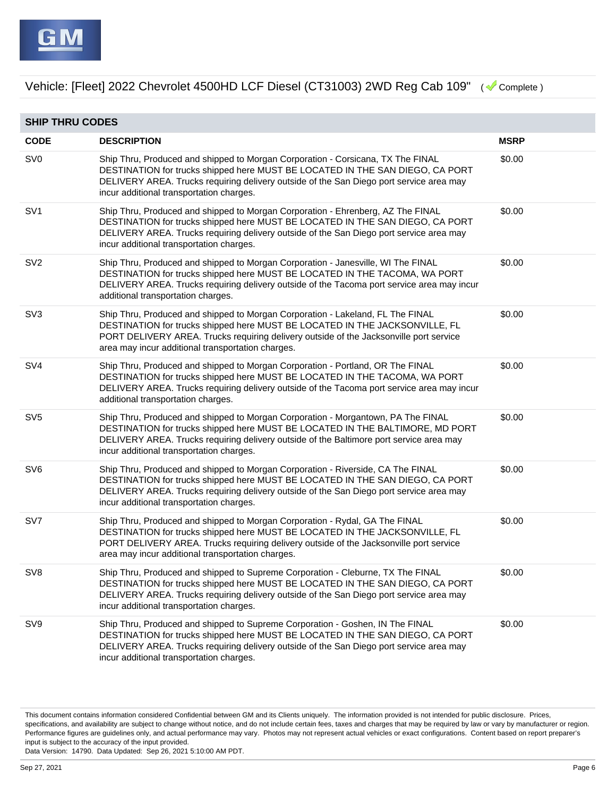

| <b>SHIP THRU CODES</b> |                                                                                                                                                                                                                                                                                                              |             |  |
|------------------------|--------------------------------------------------------------------------------------------------------------------------------------------------------------------------------------------------------------------------------------------------------------------------------------------------------------|-------------|--|
| <b>CODE</b>            | <b>DESCRIPTION</b>                                                                                                                                                                                                                                                                                           | <b>MSRP</b> |  |
| SV <sub>0</sub>        | Ship Thru, Produced and shipped to Morgan Corporation - Corsicana, TX The FINAL<br>DESTINATION for trucks shipped here MUST BE LOCATED IN THE SAN DIEGO, CA PORT<br>DELIVERY AREA. Trucks requiring delivery outside of the San Diego port service area may<br>incur additional transportation charges.      | \$0.00      |  |
| SV <sub>1</sub>        | Ship Thru, Produced and shipped to Morgan Corporation - Ehrenberg, AZ The FINAL<br>DESTINATION for trucks shipped here MUST BE LOCATED IN THE SAN DIEGO, CA PORT<br>DELIVERY AREA. Trucks requiring delivery outside of the San Diego port service area may<br>incur additional transportation charges.      | \$0.00      |  |
| SV <sub>2</sub>        | Ship Thru, Produced and shipped to Morgan Corporation - Janesville, WI The FINAL<br>DESTINATION for trucks shipped here MUST BE LOCATED IN THE TACOMA, WA PORT<br>DELIVERY AREA. Trucks requiring delivery outside of the Tacoma port service area may incur<br>additional transportation charges.           | \$0.00      |  |
| SV <sub>3</sub>        | Ship Thru, Produced and shipped to Morgan Corporation - Lakeland, FL The FINAL<br>DESTINATION for trucks shipped here MUST BE LOCATED IN THE JACKSONVILLE, FL<br>PORT DELIVERY AREA. Trucks requiring delivery outside of the Jacksonville port service<br>area may incur additional transportation charges. | \$0.00      |  |
| SV <sub>4</sub>        | Ship Thru, Produced and shipped to Morgan Corporation - Portland, OR The FINAL<br>DESTINATION for trucks shipped here MUST BE LOCATED IN THE TACOMA, WA PORT<br>DELIVERY AREA. Trucks requiring delivery outside of the Tacoma port service area may incur<br>additional transportation charges.             | \$0.00      |  |
| SV <sub>5</sub>        | Ship Thru, Produced and shipped to Morgan Corporation - Morgantown, PA The FINAL<br>DESTINATION for trucks shipped here MUST BE LOCATED IN THE BALTIMORE, MD PORT<br>DELIVERY AREA. Trucks requiring delivery outside of the Baltimore port service area may<br>incur additional transportation charges.     | \$0.00      |  |
| SV <sub>6</sub>        | Ship Thru, Produced and shipped to Morgan Corporation - Riverside, CA The FINAL<br>DESTINATION for trucks shipped here MUST BE LOCATED IN THE SAN DIEGO, CA PORT<br>DELIVERY AREA. Trucks requiring delivery outside of the San Diego port service area may<br>incur additional transportation charges.      | \$0.00      |  |
| SV7                    | Ship Thru, Produced and shipped to Morgan Corporation - Rydal, GA The FINAL<br>DESTINATION for trucks shipped here MUST BE LOCATED IN THE JACKSONVILLE, FL<br>PORT DELIVERY AREA. Trucks requiring delivery outside of the Jacksonville port service<br>area may incur additional transportation charges.    | \$0.00      |  |
| SV <sub>8</sub>        | Ship Thru, Produced and shipped to Supreme Corporation - Cleburne, TX The FINAL<br>DESTINATION for trucks shipped here MUST BE LOCATED IN THE SAN DIEGO, CA PORT<br>DELIVERY AREA. Trucks requiring delivery outside of the San Diego port service area may<br>incur additional transportation charges.      | \$0.00      |  |
| SV9                    | Ship Thru, Produced and shipped to Supreme Corporation - Goshen, IN The FINAL<br>DESTINATION for trucks shipped here MUST BE LOCATED IN THE SAN DIEGO, CA PORT<br>DELIVERY AREA. Trucks requiring delivery outside of the San Diego port service area may<br>incur additional transportation charges.        | \$0.00      |  |

This document contains information considered Confidential between GM and its Clients uniquely. The information provided is not intended for public disclosure. Prices, specifications, and availability are subject to change without notice, and do not include certain fees, taxes and charges that may be required by law or vary by manufacturer or region. Performance figures are guidelines only, and actual performance may vary. Photos may not represent actual vehicles or exact configurations. Content based on report preparer's input is subject to the accuracy of the input provided.